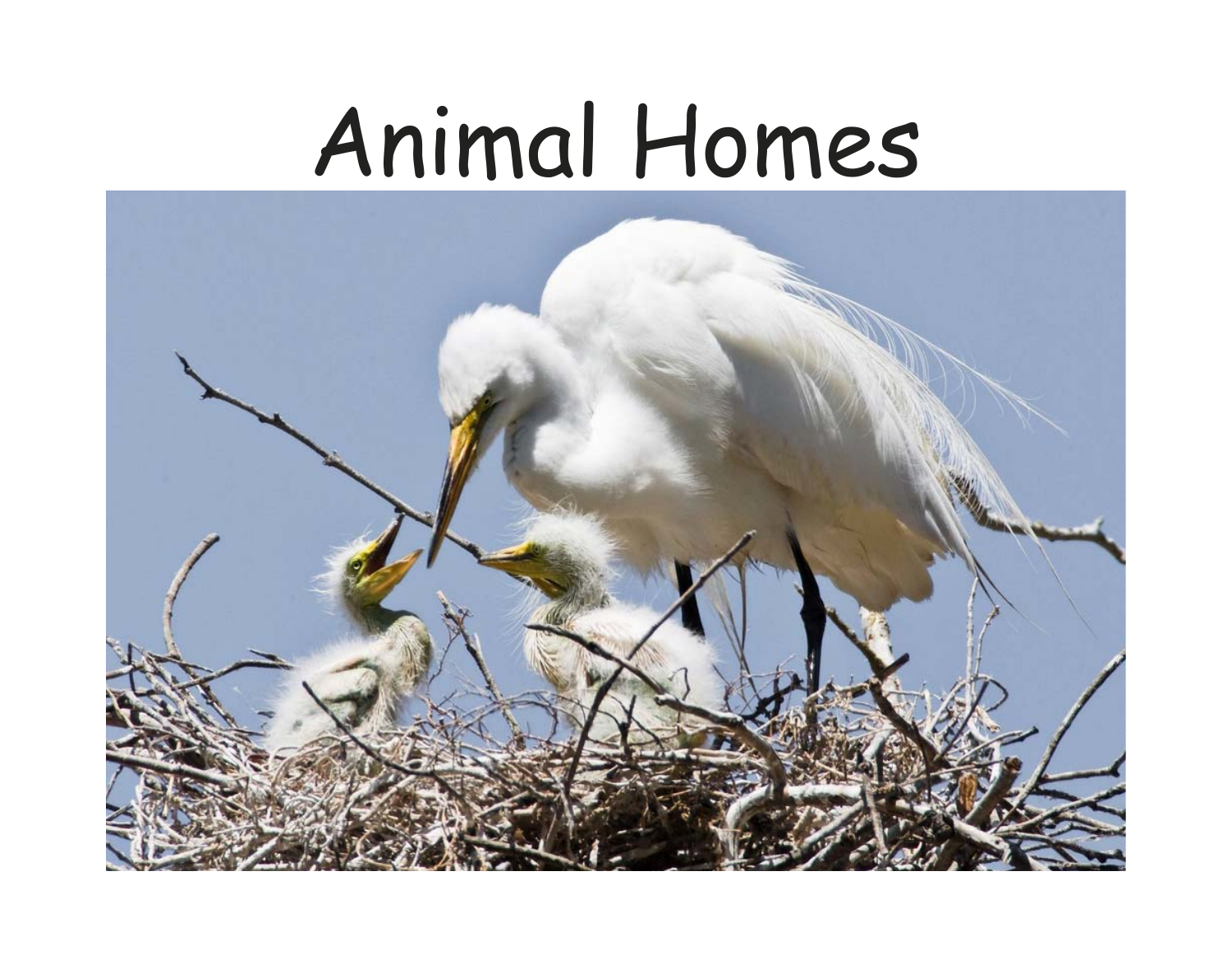## Animal Homes

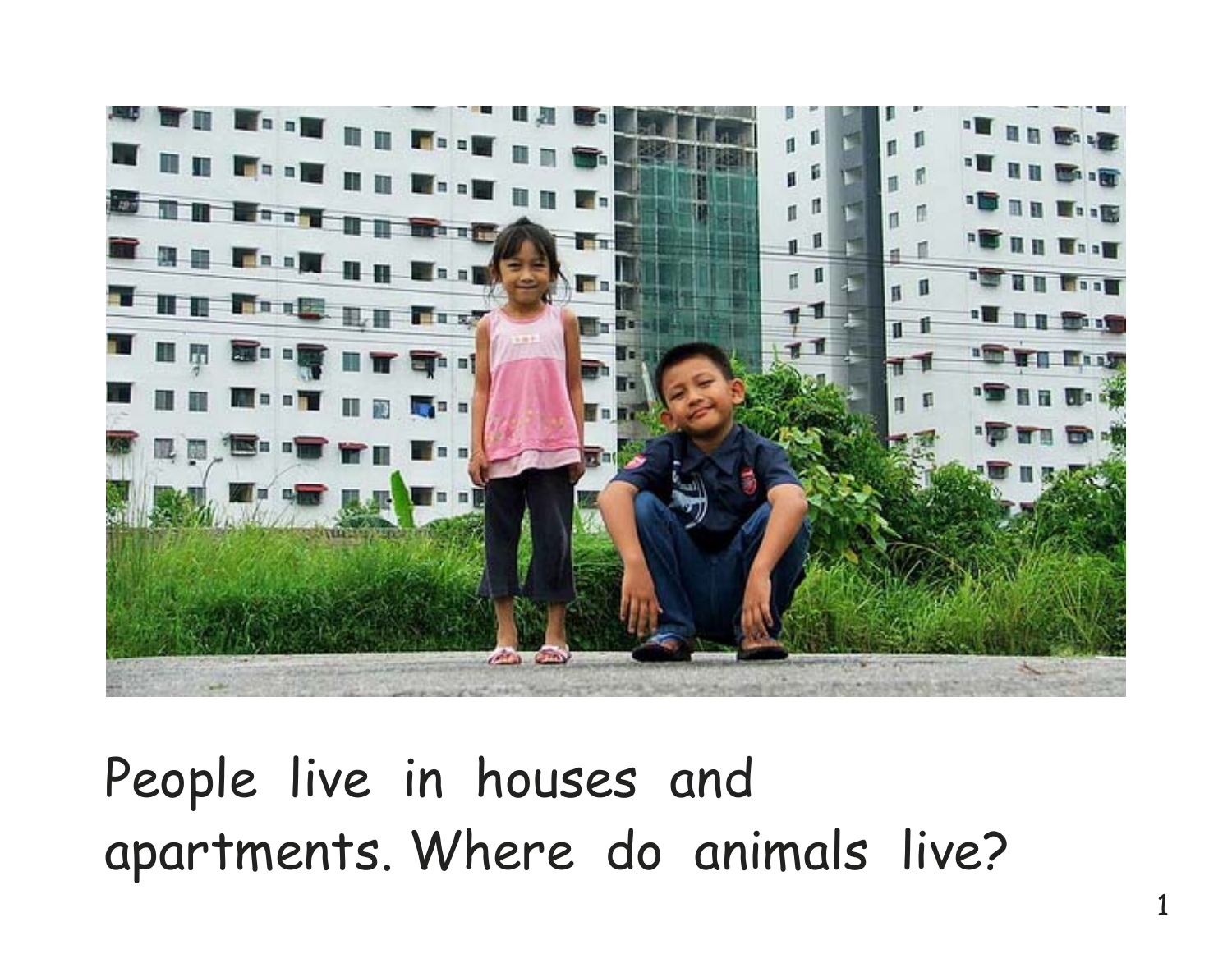

People live in houses and apartments. Where do animals live?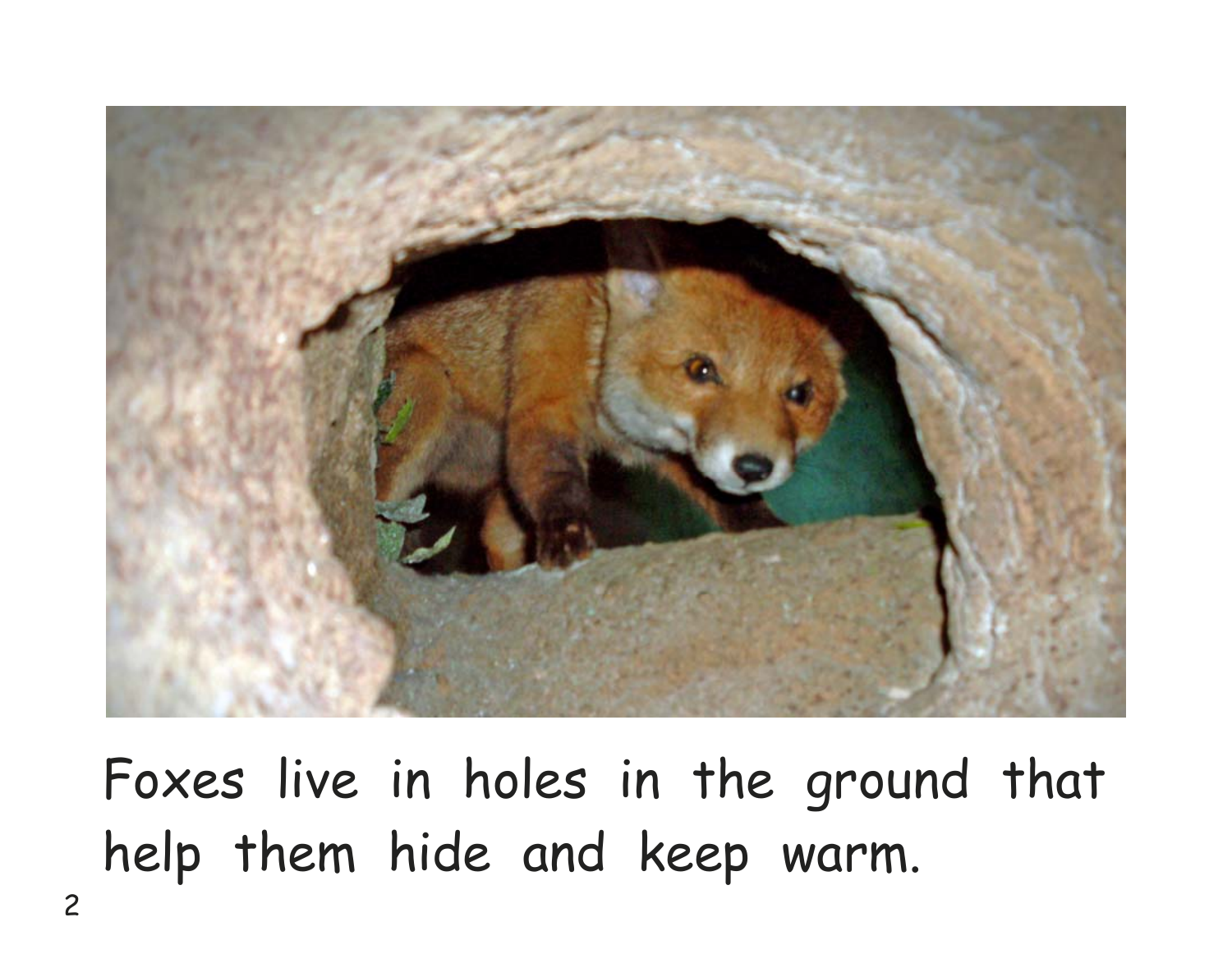

Foxes live in holes in the ground that help them hide and keep warm.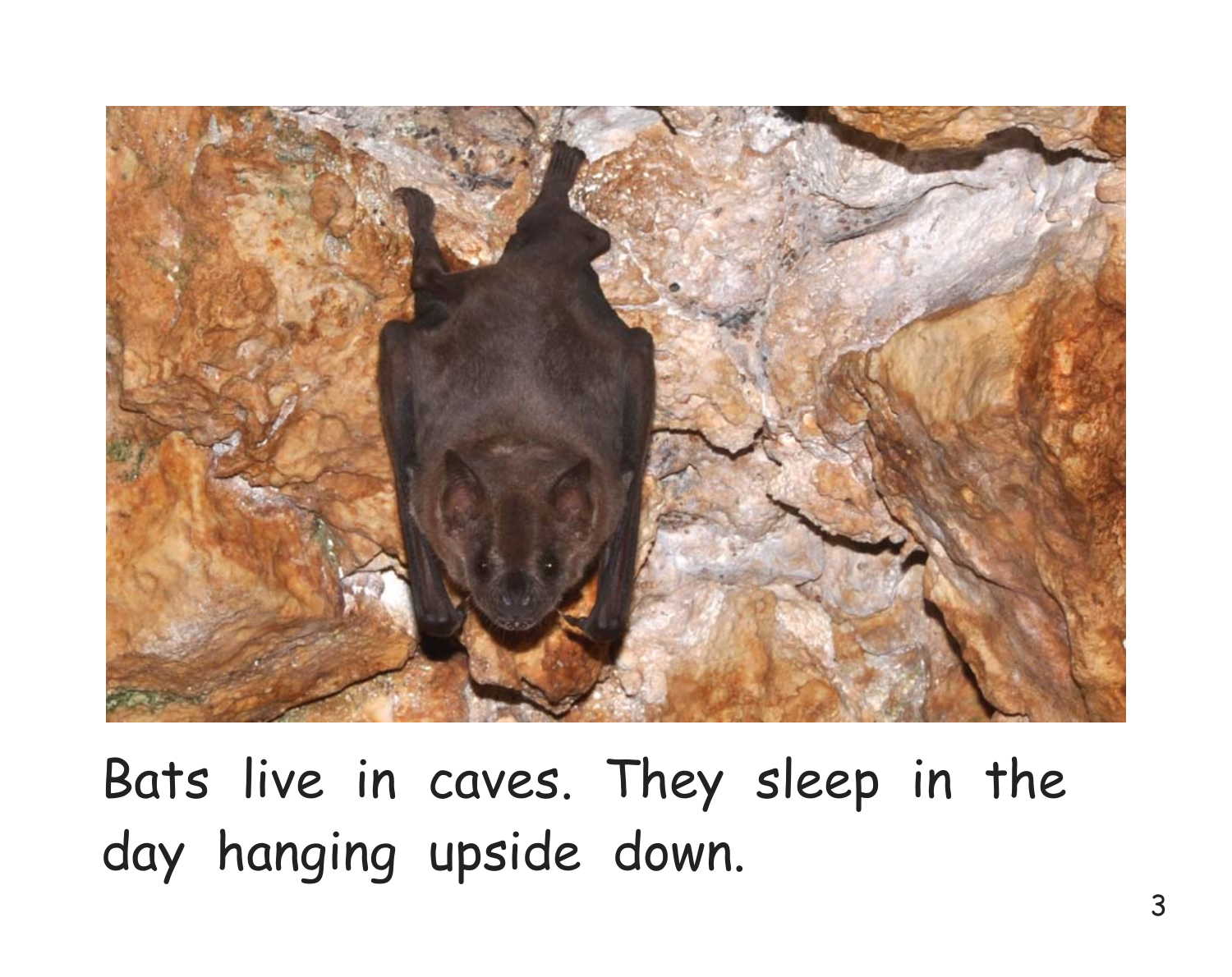

Bats live in caves. They sleep in the day hanging upside down.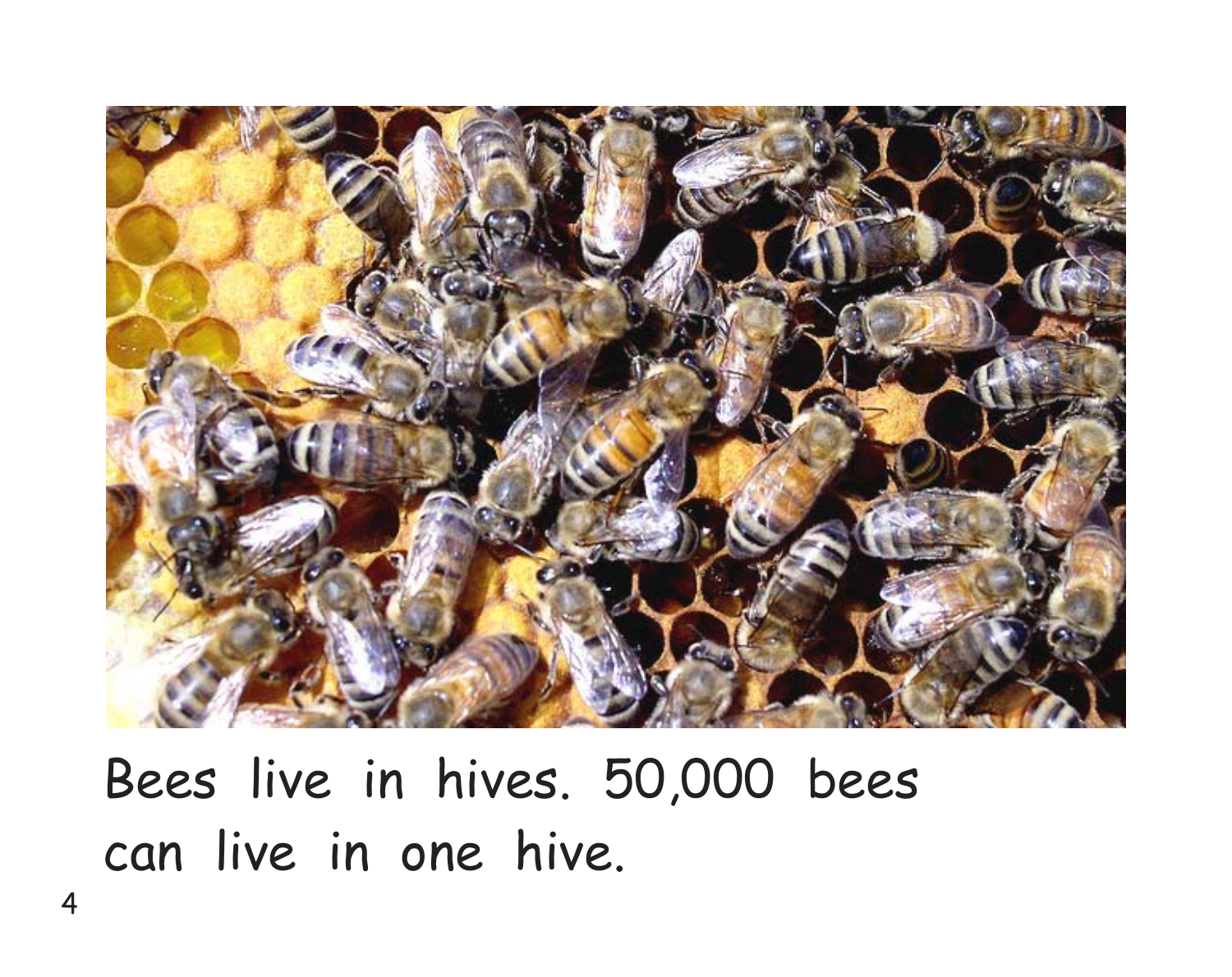

Bees live in hives. 50,000 bees can live in one hive.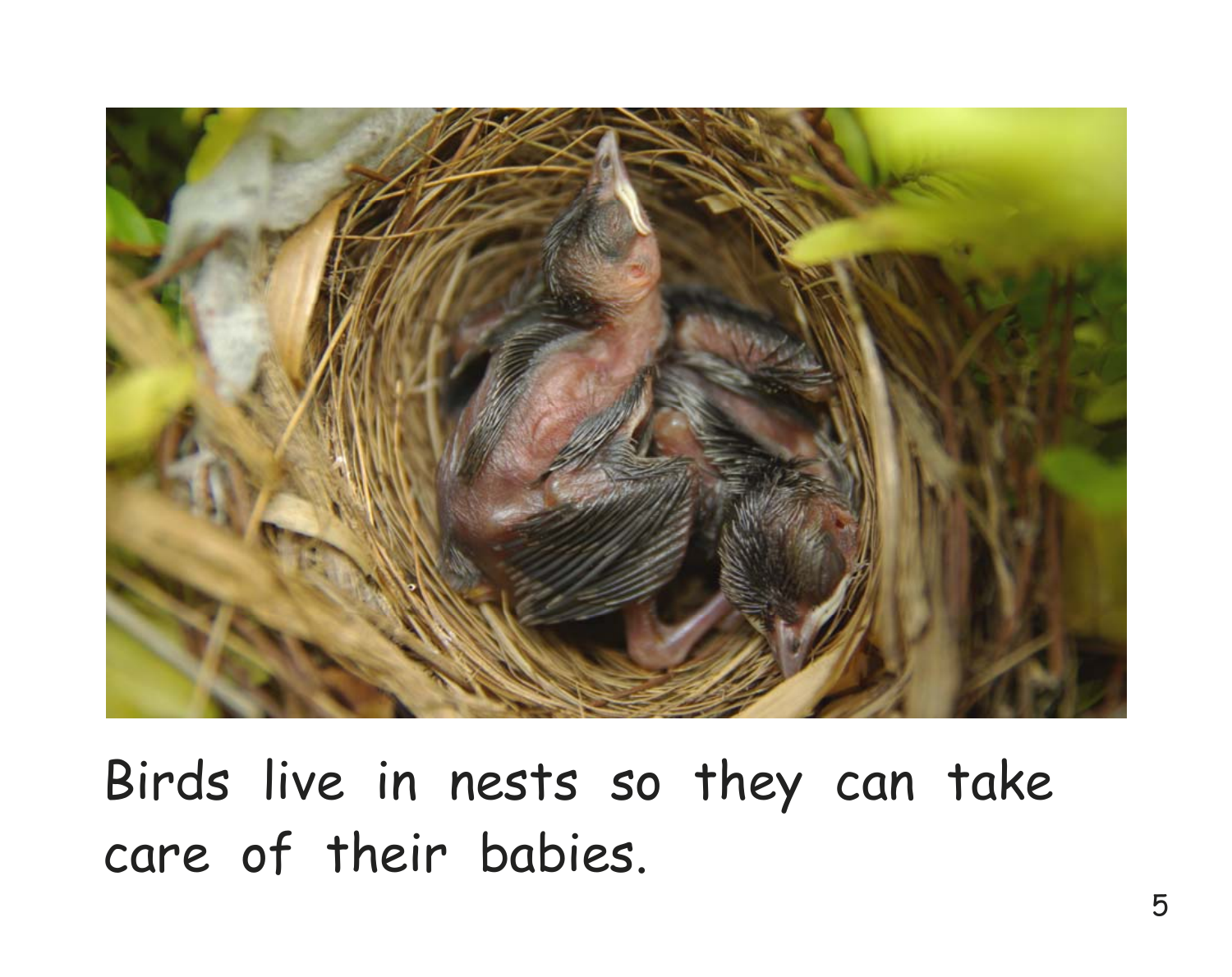

Birds live in nests so they can take care of their babies.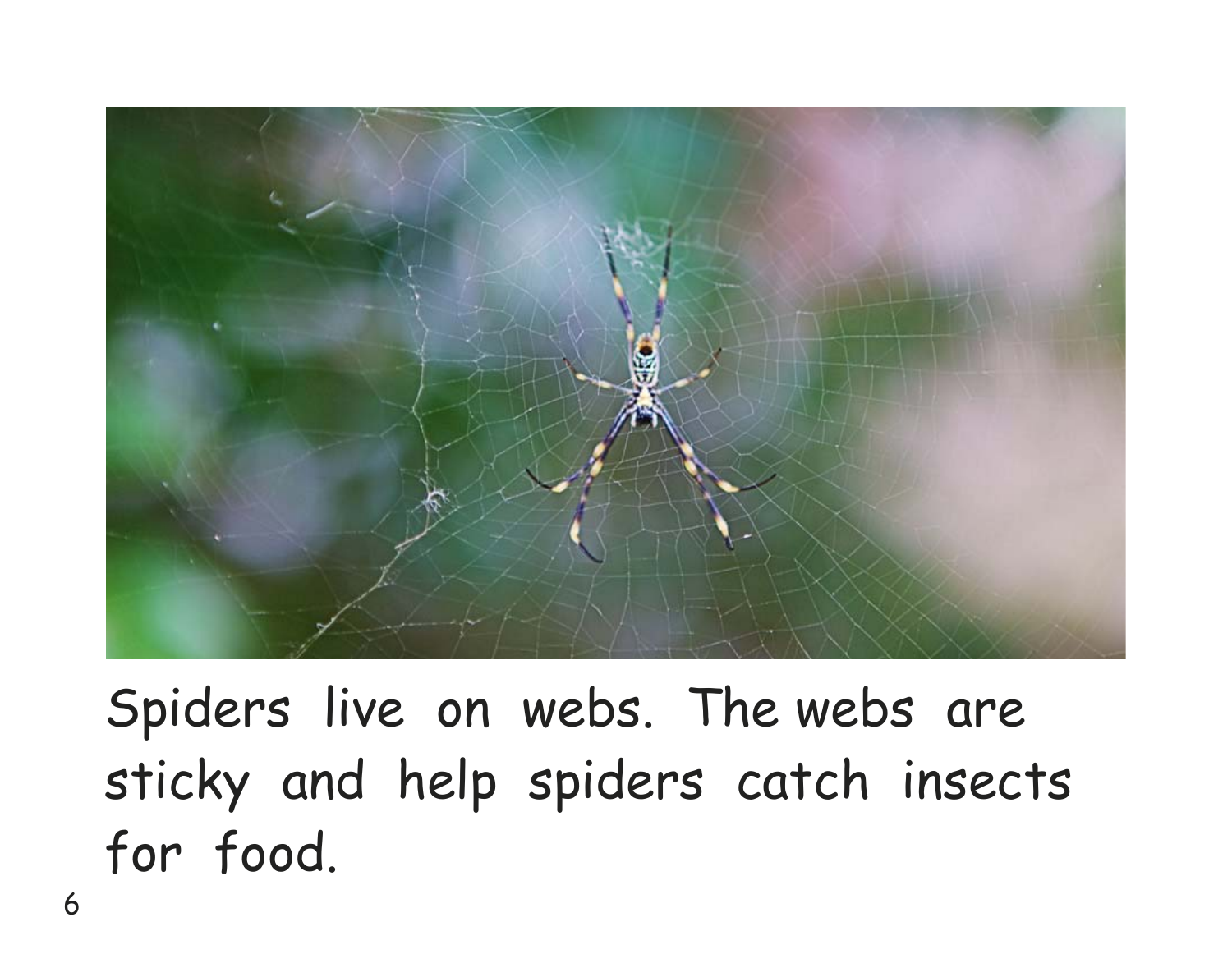

Spiders live on webs. The webs are sticky and help spiders catch insects for food.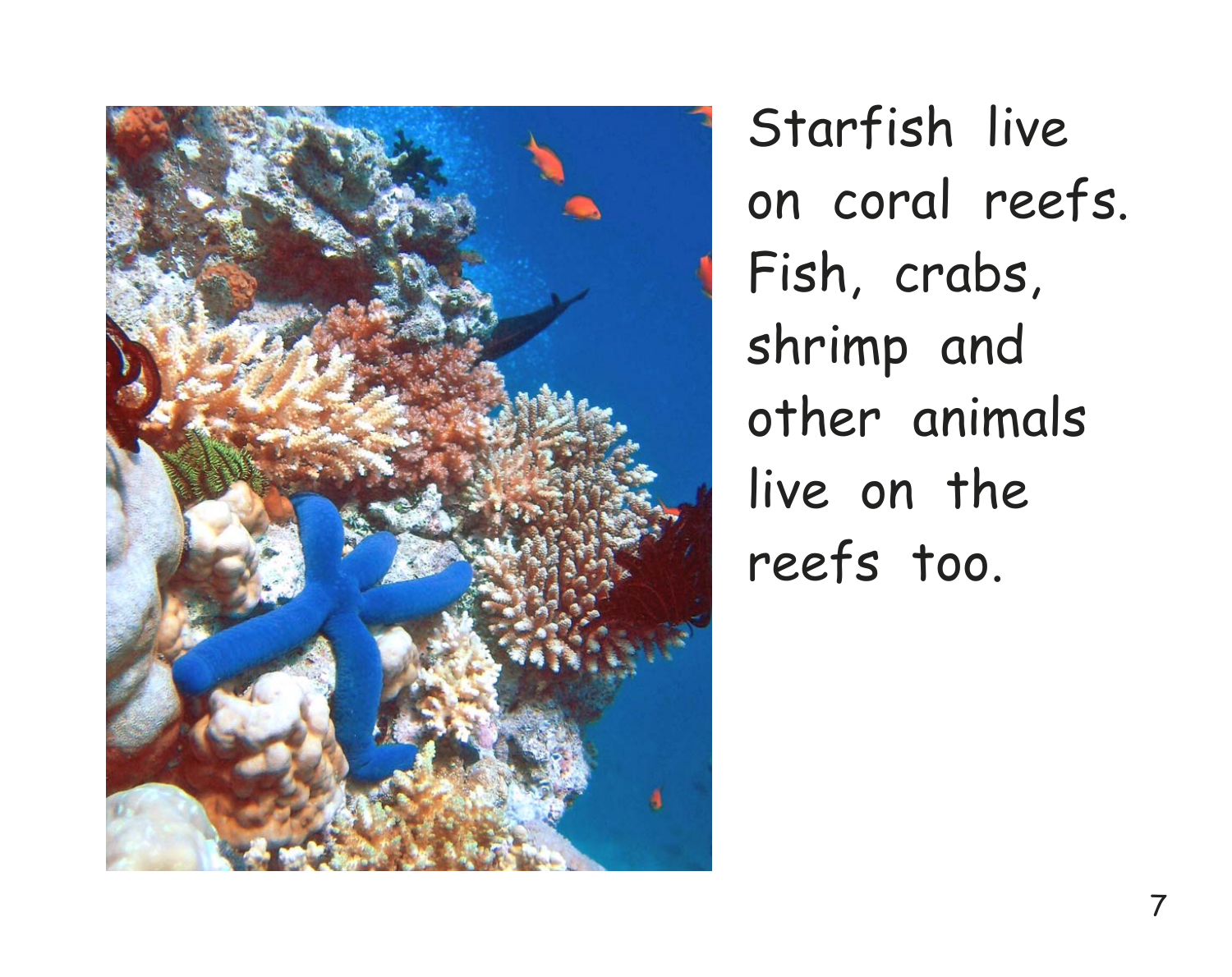

Starfish live on coral reefs. Fish, crabs, shrimp and other animals live on the reefs too.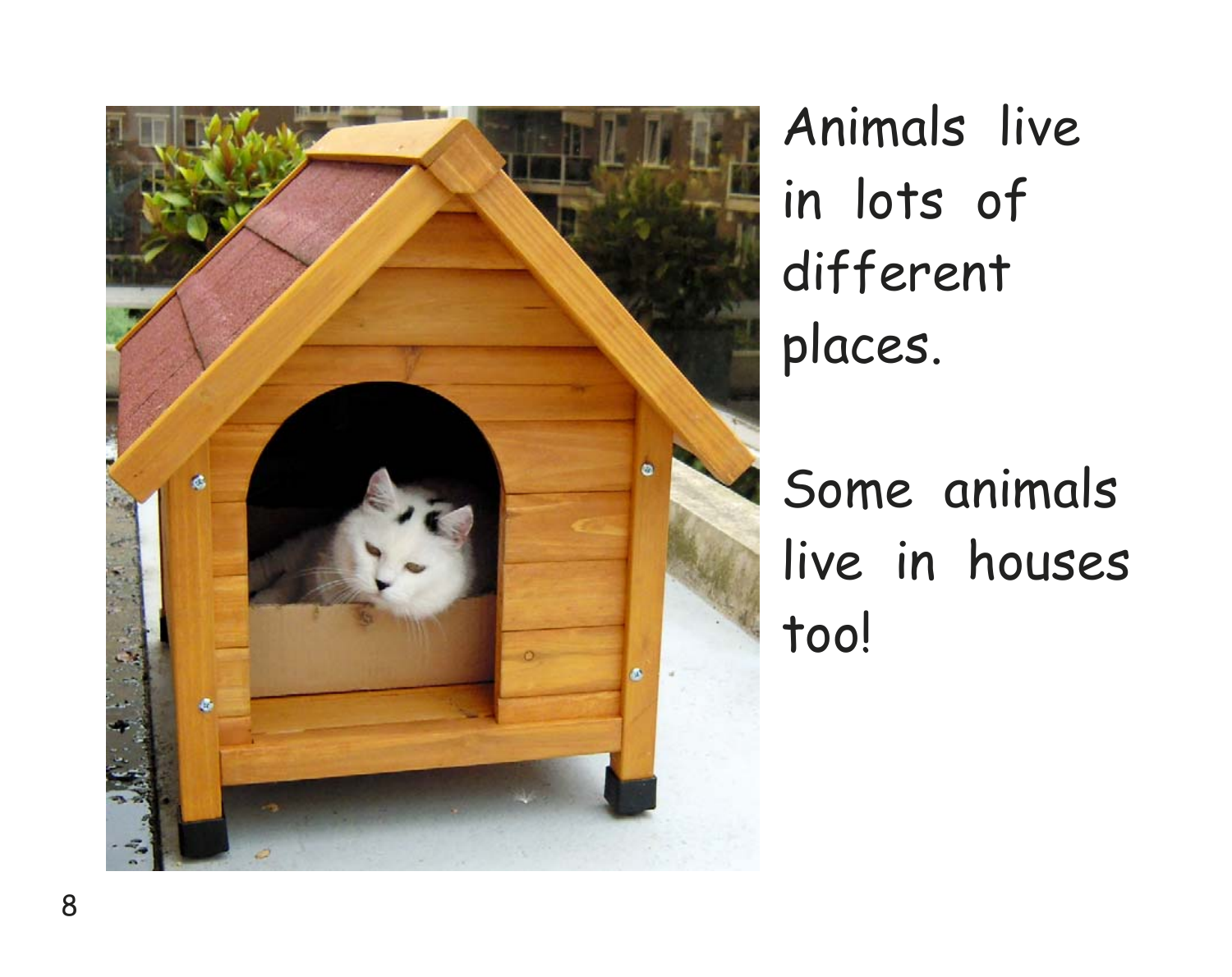

Animals live in lots of different places.

Some animals live in houses too!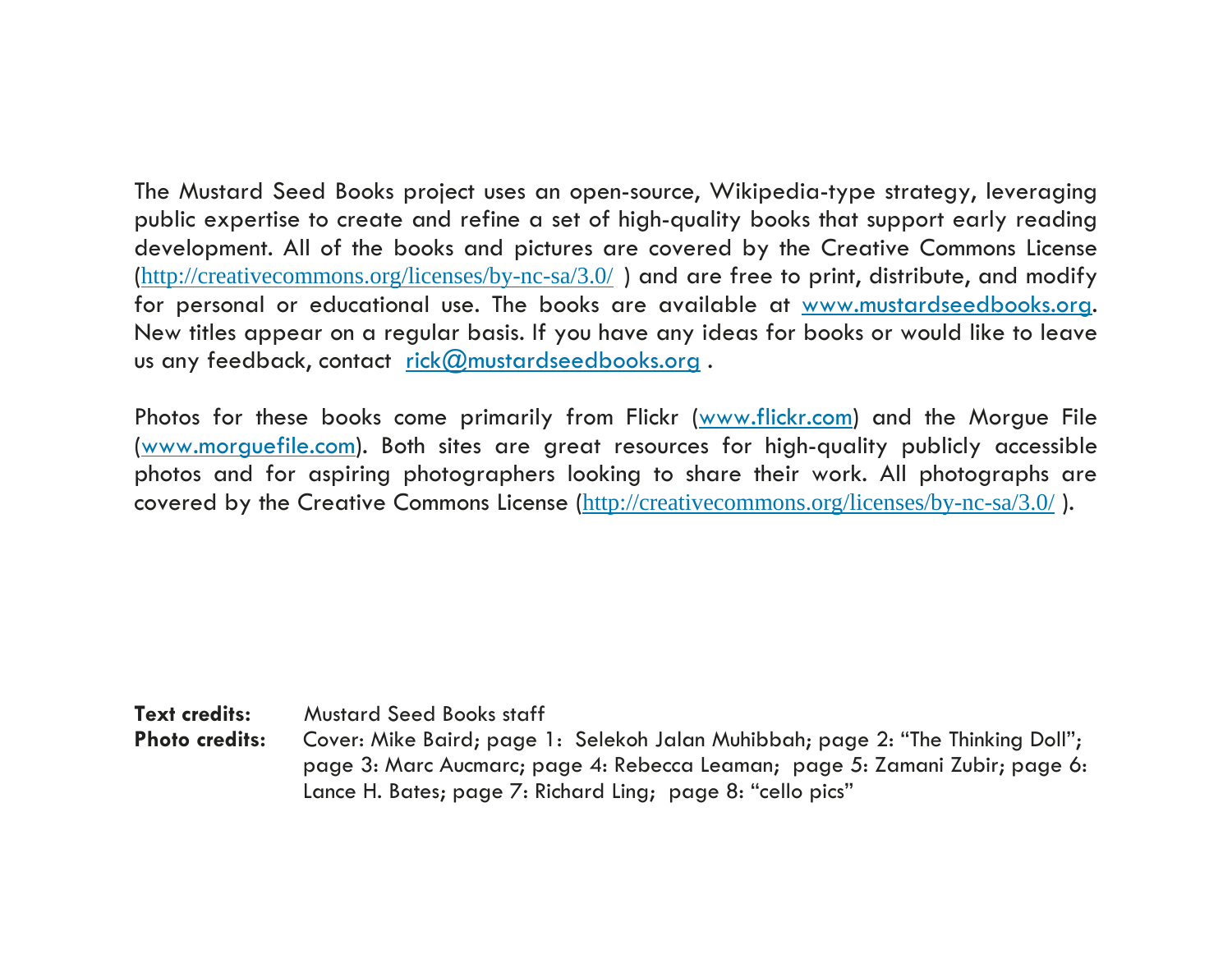The Mustard Seed Books project uses an open-source, Wikipedia-type strategy, leveraging public expertise to create and refine a set of high-quality books that support early reading development. All of the books and pictures are covered by the Creative Commons License (http://creativecommons.org/licenses/by-nc-sa/3.0/ ) and are free to print, distribute, and modify for personal or educational use. The books are available at www.mustardseedbooks.org. New titles appear on a regular basis. If you have any ideas for books or would like to leave us any feedback, contact rick@mustardseedbooks.org.

Photos for these books come primarily from Flickr (www.flickr.com) and the Morgue File (www.morguefile.com). Both sites are great resources for high-quality publicly accessible photos and for aspiring photographers looking to share their work. All photographs are covered by the Creative Commons License (http://creativecommons.org/licenses/by-nc-sa/3.0/ ).

**Text credits:** Mustard Seed Books staff<br>**Photo credits:** Cover: Mike Baird: page **Photo credits:** Cover: Mike Baird; page 1: Selekoh Jalan Muhibbah; page 2: "The Thinking Doll"; page 3: Marc Aucmarc; page 4: Rebecca Leaman; page 5: Zamani Zubir; page 6: Lance H. Bates; page 7: Richard Ling; page 8: "cello pics"